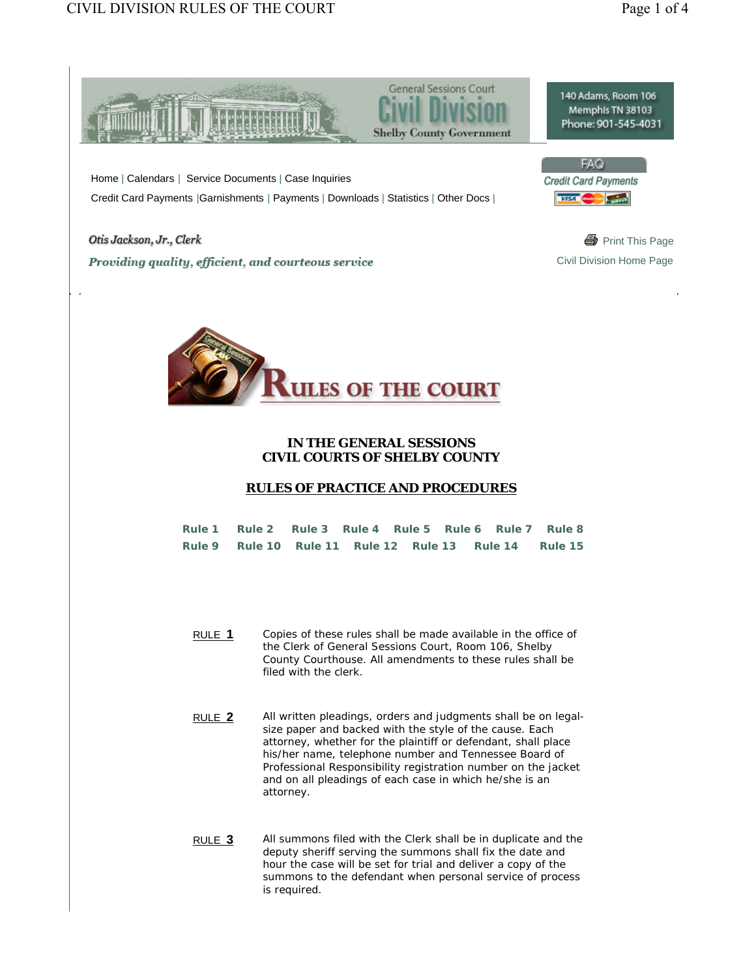

 Home | Calendars | Service Documents | Case Inquiries Credit Card Payments |Garnishments | Payments | Downloads | Statistics | Other Docs |

Otis Jackson, Jr., Clerk and South America and South America and South America and South America and South America and South America and South America and South America and South America and South America and South Americ **Providing quality, efficient, and courteous service Civil Division Home Page** Civil Division Home Page





## **IN THE GENERAL SESSIONS CIVIL COURTS OF SHELBY COUNTY**

## **RULES OF PRACTICE AND PROCEDURES**

|  |  |  | Rule 1 Rule 2 Rule 3 Rule 4 Rule 5 Rule 6 Rule 7 Rule 8 |  |
|--|--|--|---------------------------------------------------------|--|
|  |  |  | Rule 9 Rule 10 Rule 11 Rule 12 Rule 13 Rule 14 Rule 15  |  |

- RULE **1** Copies of these rules shall be made available in the office of the Clerk of General Sessions Court, Room 106, Shelby County Courthouse. All amendments to these rules shall be filed with the clerk.
- RULE **2** All written pleadings, orders and judgments shall be on legalsize paper and backed with the style of the cause. Each attorney, whether for the plaintiff or defendant, shall place his/her name, telephone number and Tennessee Board of Professional Responsibility registration number on the jacket and on all pleadings of each case in which he/she is an attorney.
- RULE **3** All summons filed with the Clerk shall be in duplicate and the deputy sheriff serving the summons shall fix the date and hour the case will be set for trial and deliver a copy of the summons to the defendant when personal service of process is required.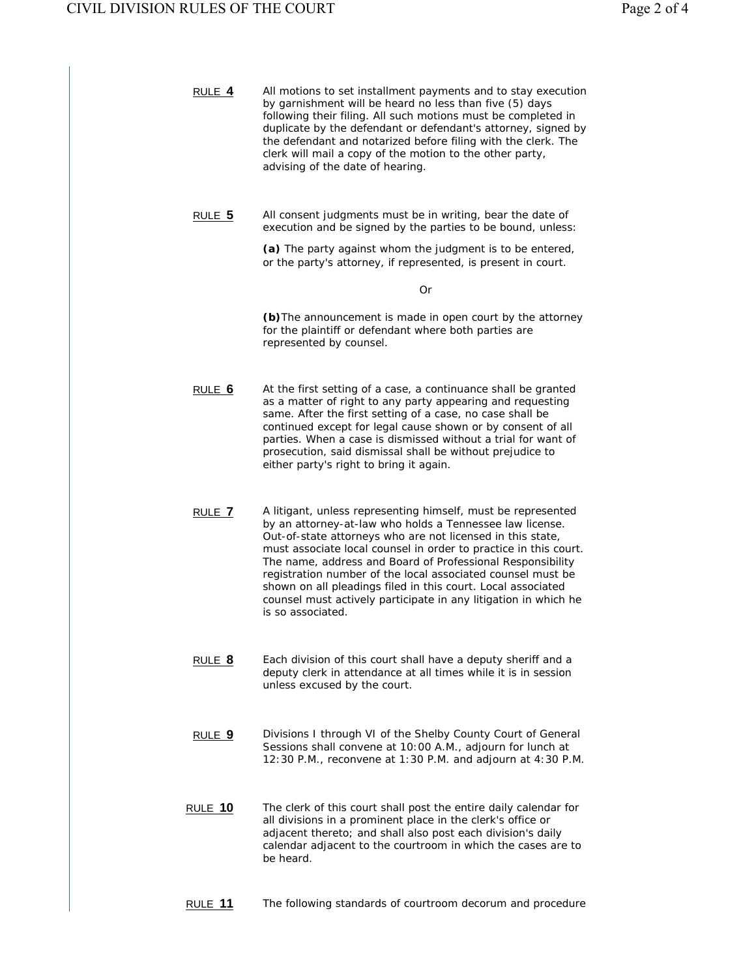| RULE 4         | All motions to set installment payments and to stay execution<br>by garnishment will be heard no less than five (5) days<br>following their filing. All such motions must be completed in<br>duplicate by the defendant or defendant's attorney, signed by<br>the defendant and notarized before filing with the clerk. The<br>clerk will mail a copy of the motion to the other party,<br>advising of the date of hearing.                                                                                                                     |
|----------------|-------------------------------------------------------------------------------------------------------------------------------------------------------------------------------------------------------------------------------------------------------------------------------------------------------------------------------------------------------------------------------------------------------------------------------------------------------------------------------------------------------------------------------------------------|
| $RULE$ 5       | All consent judgments must be in writing, bear the date of<br>execution and be signed by the parties to be bound, unless:                                                                                                                                                                                                                                                                                                                                                                                                                       |
|                | (a) The party against whom the judgment is to be entered,<br>or the party's attorney, if represented, is present in court.                                                                                                                                                                                                                                                                                                                                                                                                                      |
|                | Or                                                                                                                                                                                                                                                                                                                                                                                                                                                                                                                                              |
|                | (b) The announcement is made in open court by the attorney<br>for the plaintiff or defendant where both parties are<br>represented by counsel.                                                                                                                                                                                                                                                                                                                                                                                                  |
| RULE 6         | At the first setting of a case, a continuance shall be granted<br>as a matter of right to any party appearing and requesting<br>same. After the first setting of a case, no case shall be<br>continued except for legal cause shown or by consent of all<br>parties. When a case is dismissed without a trial for want of<br>prosecution, said dismissal shall be without prejudice to<br>either party's right to bring it again.                                                                                                               |
| RULE 7         | A litigant, unless representing himself, must be represented<br>by an attorney-at-law who holds a Tennessee law license.<br>Out-of-state attorneys who are not licensed in this state,<br>must associate local counsel in order to practice in this court.<br>The name, address and Board of Professional Responsibility<br>registration number of the local associated counsel must be<br>shown on all pleadings filed in this court. Local associated<br>counsel must actively participate in any litigation in which he<br>is so associated. |
| RULE 8         | Each division of this court shall have a deputy sheriff and a<br>deputy clerk in attendance at all times while it is in session<br>unless excused by the court.                                                                                                                                                                                                                                                                                                                                                                                 |
| RULE 9         | Divisions I through VI of the Shelby County Court of General<br>Sessions shall convene at 10:00 A.M., adjourn for lunch at<br>12:30 P.M., reconvene at 1:30 P.M. and adjourn at 4:30 P.M.                                                                                                                                                                                                                                                                                                                                                       |
| <b>RULE 10</b> | The clerk of this court shall post the entire daily calendar for<br>all divisions in a prominent place in the clerk's office or<br>adjacent thereto; and shall also post each division's daily<br>calendar adjacent to the courtroom in which the cases are to<br>be heard.                                                                                                                                                                                                                                                                     |
| <b>RULE 11</b> | The following standards of courtroom decorum and procedure                                                                                                                                                                                                                                                                                                                                                                                                                                                                                      |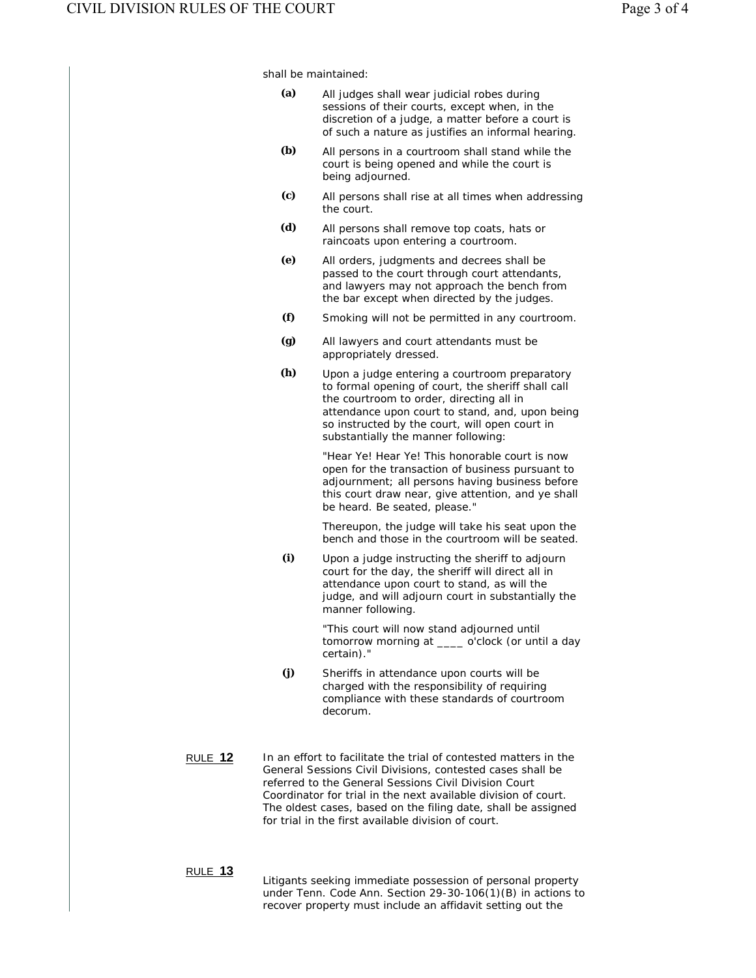shall be maintained:

| (a) | All judges shall wear judicial robes during<br>sessions of their courts, except when, in the            |  |  |  |
|-----|---------------------------------------------------------------------------------------------------------|--|--|--|
|     | discretion of a judge, a matter before a court is<br>of such a nature as justifies an informal hearing. |  |  |  |

- **(b)** All persons in a courtroom shall stand while the court is being opened and while the court is being adjourned.
- **(c)** All persons shall rise at all times when addressing the court.
	- **(d)** All persons shall remove top coats, hats or raincoats upon entering a courtroom.
	- **(e)** All orders, judgments and decrees shall be passed to the court through court attendants, and lawyers may not approach the bench from the bar except when directed by the judges.
	- **(f)** Smoking will not be permitted in any courtroom.
	- **(g)** All lawyers and court attendants must be appropriately dressed.
	- **(h)** Upon a judge entering a courtroom preparatory to formal opening of court, the sheriff shall call the courtroom to order, directing all in attendance upon court to stand, and, upon being so instructed by the court, will open court in substantially the manner following:

 "Hear Ye! Hear Ye! This honorable court is now open for the transaction of business pursuant to adjournment; all persons having business before this court draw near, give attention, and ye shall be heard. Be seated, please."

 Thereupon, the judge will take his seat upon the bench and those in the courtroom will be seated.

**(i)** Upon a judge instructing the sheriff to adjourn court for the day, the sheriff will direct all in attendance upon court to stand, as will the judge, and will adjourn court in substantially the manner following.

 "This court will now stand adjourned until tomorrow morning at \_\_\_\_ o'clock (or until a day certain)."

- **(j)** Sheriffs in attendance upon courts will be charged with the responsibility of requiring compliance with these standards of courtroom decorum.
- RULE **12** In an effort to facilitate the trial of contested matters in the General Sessions Civil Divisions, contested cases shall be referred to the General Sessions Civil Division Court Coordinator for trial in the next available division of court. The oldest cases, based on the filing date, shall be assigned for trial in the first available division of court.

## RULE **13**

Litigants seeking immediate possession of personal property under Tenn. Code Ann. Section 29-30-106(1)(B) in actions to recover property must include an affidavit setting out the